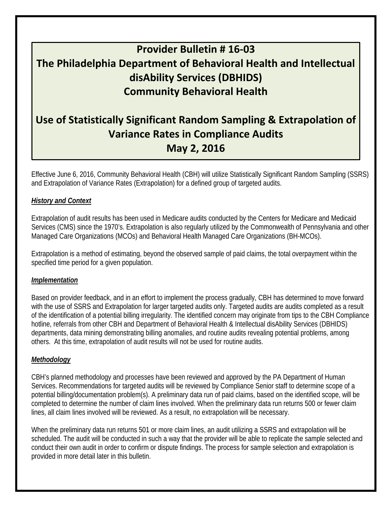# **Provider Bulletin # 16‐03 The Philadelphia Department of Behavioral Health and Intellectual disAbility Services (DBHIDS) Community Behavioral Health**

## **Use of Statistically Significant Random Sampling & Extrapolation of Variance Rates in Compliance Audits May 2, 2016**

Effective June 6, 2016, Community Behavioral Health (CBH) will utilize Statistically Significant Random Sampling (SSRS) and Extrapolation of Variance Rates (Extrapolation) for a defined group of targeted audits.

## *History and Context*

Extrapolation of audit results has been used in Medicare audits conducted by the Centers for Medicare and Medicaid Services (CMS) since the 1970's. Extrapolation is also regularly utilized by the Commonwealth of Pennsylvania and other Managed Care Organizations (MCOs) and Behavioral Health Managed Care Organizations (BH-MCOs).

Extrapolation is a method of estimating, beyond the observed sample of paid claims, the total overpayment within the specified time period for a given population.

## *Implementation*

Based on provider feedback, and in an effort to implement the process gradually, CBH has determined to move forward with the use of SSRS and Extrapolation for larger targeted audits only. Targeted audits are audits completed as a result of the identification of a potential billing irregularity. The identified concern may originate from tips to the CBH Compliance hotline, referrals from other CBH and Department of Behavioral Health & Intellectual disAbility Services (DBHIDS) departments, data mining demonstrating billing anomalies, and routine audits revealing potential problems, among others. At this time, extrapolation of audit results will not be used for routine audits.

## *Methodology*

CBH's planned methodology and processes have been reviewed and approved by the PA Department of Human Services. Recommendations for targeted audits will be reviewed by Compliance Senior staff to determine scope of a potential billing/documentation problem(s). A preliminary data run of paid claims, based on the identified scope, will be completed to determine the number of claim lines involved. When the preliminary data run returns 500 or fewer claim lines, all claim lines involved will be reviewed. As a result, no extrapolation will be necessary.

When the preliminary data run returns 501 or more claim lines, an audit utilizing a SSRS and extrapolation will be scheduled. The audit will be conducted in such a way that the provider will be able to replicate the sample selected and conduct their own audit in order to confirm or dispute findings. The process for sample selection and extrapolation is provided in more detail later in this bulletin.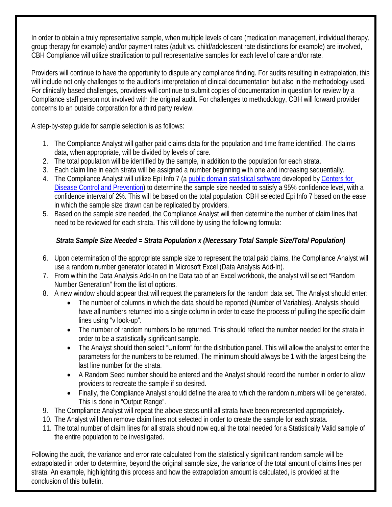In order to obtain a truly representative sample, when multiple levels of care (medication management, individual therapy, group therapy for example) and/or payment rates (adult vs. child/adolescent rate distinctions for example) are involved, CBH Compliance will utilize stratification to pull representative samples for each level of care and/or rate.

Providers will continue to have the opportunity to dispute any compliance finding. For audits resulting in extrapolation, this will include not only challenges to the auditor's interpretation of clinical documentation but also in the methodology used. For clinically based challenges, providers will continue to submit copies of documentation in question for review by a Compliance staff person not involved with the original audit. For challenges to methodology, CBH will forward provider concerns to an outside corporation for a third party review.

A step-by-step guide for sample selection is as follows:

- 1. The Compliance Analyst will gather paid claims data for the population and time frame identified. The claims data, when appropriate, will be divided by levels of care.
- 2. The total population will be identified by the sample, in addition to the population for each strata.
- 3. Each claim line in each strata will be assigned a number beginning with one and increasing sequentially.
- 4. The Compliance Analyst will utilize Epi Info 7 (a public domain statistical software developed by Centers for Disease Control and Prevention) to determine the sample size needed to satisfy a 95% confidence level, with a confidence interval of 2%. This will be based on the total population. CBH selected Epi Info 7 based on the ease in which the sample size drawn can be replicated by providers.
- 5. Based on the sample size needed, the Compliance Analyst will then determine the number of claim lines that need to be reviewed for each strata. This will done by using the following formula:

## *Strata Sample Size Needed = Strata Population x (Necessary Total Sample Size/Total Population)*

- 6. Upon determination of the appropriate sample size to represent the total paid claims, the Compliance Analyst will use a random number generator located in Microsoft Excel (Data Analysis Add-In).
- 7. From within the Data Analysis Add-In on the Data tab of an Excel workbook, the analyst will select "Random Number Generation" from the list of options.
- 8. A new window should appear that will request the parameters for the random data set. The Analyst should enter:
	- The number of columns in which the data should be reported (Number of Variables). Analysts should have all numbers returned into a single column in order to ease the process of pulling the specific claim lines using "v look-up".
	- The number of random numbers to be returned. This should reflect the number needed for the strata in order to be a statistically significant sample.
	- The Analyst should then select "Uniform" for the distribution panel. This will allow the analyst to enter the parameters for the numbers to be returned. The minimum should always be 1 with the largest being the last line number for the strata.
	- A Random Seed number should be entered and the Analyst should record the number in order to allow providers to recreate the sample if so desired.
	- Finally, the Compliance Analyst should define the area to which the random numbers will be generated. This is done in "Output Range".
- 9. The Compliance Analyst will repeat the above steps until all strata have been represented appropriately.
- 10. The Analyst will then remove claim lines not selected in order to create the sample for each strata.
- 11. The total number of claim lines for all strata should now equal the total needed for a Statistically Valid sample of the entire population to be investigated.

Following the audit, the variance and error rate calculated from the statistically significant random sample will be extrapolated in order to determine, beyond the original sample size, the variance of the total amount of claims lines per strata. An example, highlighting this process and how the extrapolation amount is calculated, is provided at the conclusion of this bulletin.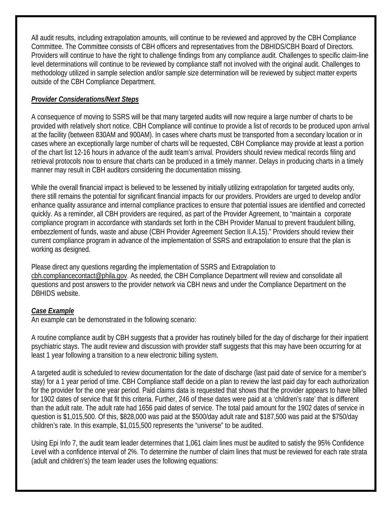All audit results, including extrapolation amounts, will continue to be reviewed and approved by the CBH Compliance Committee. The Committee consists of CBH officers and representatives from the DBHIDS/CBH Board of Directors. Providers will continue to have the right to challenge findings from any compliance audit. Challenges to specific claim-line level determinations will continue to be reviewed by compliance staff not involved with the original audit. Challenges to methodology utilized in sample selection and/or sample size determination will be reviewed by subject matter experts outside of the CBH Compliance Department.

## *Provider Considerations/Next Steps*

A consequence of moving to SSRS will be that many targeted audits will now require a large number of charts to be provided with relatively short notice. CBH Compliance will continue to provide a list of records to be produced upon arrival at the facility (between 830AM and 900AM). In cases where charts must be transported from a secondary location or in cases where an exceptionally large number of charts will be requested, CBH Compliance may provide at least a portion of the chart list 12-16 hours in advance of the audit team's arrival. Providers should review medical records filing and retrieval protocols now to ensure that charts can be produced in a timely manner. Delays in producing charts in a timely manner may result in CBH auditors considering the documentation missing.

While the overall financial impact is believed to be lessened by initially utilizing extrapolation for targeted audits only, there still remains the potential for significant financial impacts for our providers. Providers are urged to develop and/or enhance quality assurance and internal compliance practices to ensure that potential issues are identified and corrected quickly. As a reminder, all CBH providers are required, as part of the Provider Agreement, to "maintain a corporate compliance program in accordance with standards set forth in the CBH Provider Manual to prevent fraudulent billing, embezzlement of funds, waste and abuse (CBH Provider Agreement Section II.A.15)." Providers should review their current compliance program in advance of the implementation of SSRS and extrapolation to ensure that the plan is working as designed.

Please direct any questions regarding the implementation of SSRS and Extrapolation to cbh.compliancecontact@phila.gov. As needed, the CBH Compliance Department will review and consolidate all questions and post answers to the provider network via CBH news and under the Compliance Department on the DBHIDS website.

## *Case Example*

An example can be demonstrated in the following scenario:

A routine compliance audit by CBH suggests that a provider has routinely billed for the day of discharge for their inpatient psychiatric stays. The audit review and discussion with provider staff suggests that this may have been occurring for at least 1 year following a transition to a new electronic billing system.

A targeted audit is scheduled to review documentation for the date of discharge (last paid date of service for a member's stay) for a 1 year period of time. CBH Compliance staff decide on a plan to review the last paid day for each authorization for the provider for the one year period. Paid claims data is requested that shows that the provider appears to have billed for 1902 dates of service that fit this criteria. Further, 246 of these dates were paid at a 'children's rate' that is different than the adult rate. The adult rate had 1656 paid dates of service. The total paid amount for the 1902 dates of service in question is \$1,015,500. Of this, \$828,000 was paid at the \$500/day adult rate and \$187,500 was paid at the \$750/day children's rate. In this example, \$1,015,500 represents the "universe" to be audited.

Using Epi Info 7, the audit team leader determines that 1,061 claim lines must be audited to satisfy the 95% Confidence Level with a confidence interval of 2%. To determine the number of claim lines that must be reviewed for each rate strata (adult and children's) the team leader uses the following equations: